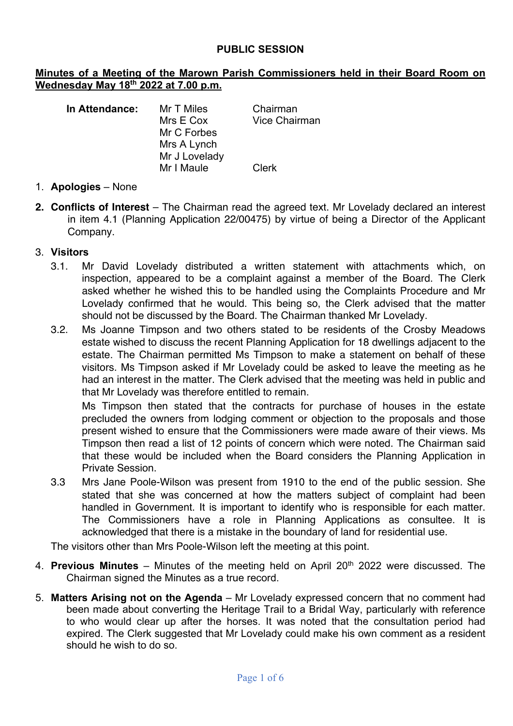#### **PUBLIC SESSION**

#### **Minutes of a Meeting of the Marown Parish Commissioners held in their Board Room on Wednesday May 18th 2022 at 7.00 p.m.**

| Chairman             |
|----------------------|
| <b>Vice Chairman</b> |
|                      |
|                      |
|                      |
| Clerk                |
|                      |

- 1. **Apologies** None
- **2. Conflicts of Interest** The Chairman read the agreed text. Mr Lovelady declared an interest in item 4.1 (Planning Application 22/00475) by virtue of being a Director of the Applicant Company.

#### 3. **Visitors**

- 3.1. Mr David Lovelady distributed a written statement with attachments which, on inspection, appeared to be a complaint against a member of the Board. The Clerk asked whether he wished this to be handled using the Complaints Procedure and Mr Lovelady confirmed that he would. This being so, the Clerk advised that the matter should not be discussed by the Board. The Chairman thanked Mr Lovelady.
- 3.2. Ms Joanne Timpson and two others stated to be residents of the Crosby Meadows estate wished to discuss the recent Planning Application for 18 dwellings adjacent to the estate. The Chairman permitted Ms Timpson to make a statement on behalf of these visitors. Ms Timpson asked if Mr Lovelady could be asked to leave the meeting as he had an interest in the matter. The Clerk advised that the meeting was held in public and that Mr Lovelady was therefore entitled to remain.

Ms Timpson then stated that the contracts for purchase of houses in the estate precluded the owners from lodging comment or objection to the proposals and those present wished to ensure that the Commissioners were made aware of their views. Ms Timpson then read a list of 12 points of concern which were noted. The Chairman said that these would be included when the Board considers the Planning Application in Private Session.

3.3 Mrs Jane Poole-Wilson was present from 1910 to the end of the public session. She stated that she was concerned at how the matters subject of complaint had been handled in Government. It is important to identify who is responsible for each matter. The Commissioners have a role in Planning Applications as consultee. It is acknowledged that there is a mistake in the boundary of land for residential use.

The visitors other than Mrs Poole-Wilson left the meeting at this point.

- 4. **Previous Minutes** Minutes of the meeting held on April 20<sup>th</sup> 2022 were discussed. The Chairman signed the Minutes as a true record.
- 5. **Matters Arising not on the Agenda** Mr Lovelady expressed concern that no comment had been made about converting the Heritage Trail to a Bridal Way, particularly with reference to who would clear up after the horses. It was noted that the consultation period had expired. The Clerk suggested that Mr Lovelady could make his own comment as a resident should he wish to do so.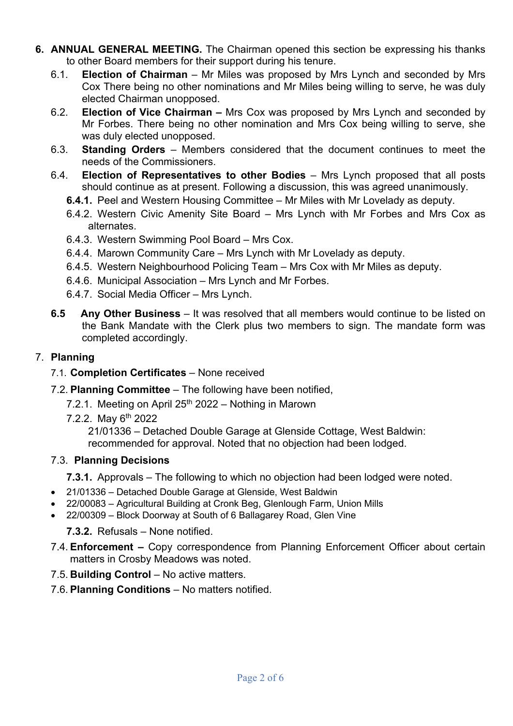- **6. ANNUAL GENERAL MEETING.** The Chairman opened this section be expressing his thanks to other Board members for their support during his tenure.
	- 6.1. **Election of Chairman** Mr Miles was proposed by Mrs Lynch and seconded by Mrs Cox There being no other nominations and Mr Miles being willing to serve, he was duly elected Chairman unopposed.
	- 6.2. **Election of Vice Chairman –** Mrs Cox was proposed by Mrs Lynch and seconded by Mr Forbes. There being no other nomination and Mrs Cox being willing to serve, she was duly elected unopposed.
	- 6.3. **Standing Orders** Members considered that the document continues to meet the needs of the Commissioners.
	- 6.4. **Election of Representatives to other Bodies** Mrs Lynch proposed that all posts should continue as at present. Following a discussion, this was agreed unanimously.
		- **6.4.1.** Peel and Western Housing Committee Mr Miles with Mr Lovelady as deputy.
		- 6.4.2. Western Civic Amenity Site Board Mrs Lynch with Mr Forbes and Mrs Cox as alternates.
		- 6.4.3. Western Swimming Pool Board Mrs Cox.
		- 6.4.4. Marown Community Care Mrs Lynch with Mr Lovelady as deputy.
		- 6.4.5. Western Neighbourhood Policing Team Mrs Cox with Mr Miles as deputy.
		- 6.4.6. Municipal Association Mrs Lynch and Mr Forbes.
		- 6.4.7. Social Media Officer Mrs Lynch.
	- **6.5 Any Other Business** It was resolved that all members would continue to be listed on the Bank Mandate with the Clerk plus two members to sign. The mandate form was completed accordingly.

### 7. **Planning**

- 7.1. **Completion Certificates** None received
- 7.2. **Planning Committee** The following have been notified,
	- 7.2.1. Meeting on April  $25<sup>th</sup>$  2022 Nothing in Marown
	- 7.2.2. May  $6^{th}$  2022

21/01336 – Detached Double Garage at Glenside Cottage, West Baldwin: recommended for approval. Noted that no objection had been lodged.

#### 7.3. **Planning Decisions**

**7.3.1.** Approvals – The following to which no objection had been lodged were noted.

- 21/01336 Detached Double Garage at Glenside, West Baldwin
- 22/00083 Agricultural Building at Cronk Beg, Glenlough Farm, Union Mills
- 22/00309 Block Doorway at South of 6 Ballagarey Road, Glen Vine

**7.3.2.** Refusals – None notified.

- 7.4. **Enforcement –** Copy correspondence from Planning Enforcement Officer about certain matters in Crosby Meadows was noted.
- 7.5. **Building Control** No active matters.
- 7.6. **Planning Conditions** No matters notified.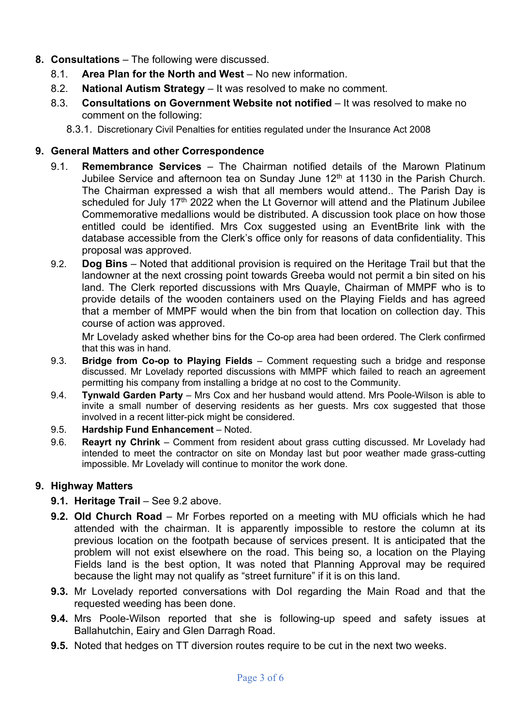# **8. Consultations** – The following were discussed.

- 8.1. **Area Plan for the North and West** No new information.
- 8.2. **National Autism Strategy** It was resolved to make no comment.
- 8.3. **Consultations on Government Website not notified** It was resolved to make no comment on the following:
	- 8.3.1. Discretionary Civil Penalties for entities regulated under the Insurance Act 2008

### **9. General Matters and other Correspondence**

- 9.1. **Remembrance Services** The Chairman notified details of the Marown Platinum Jubilee Service and afternoon tea on Sunday June 12<sup>th</sup> at 1130 in the Parish Church. The Chairman expressed a wish that all members would attend.. The Parish Day is scheduled for July 17<sup>th</sup> 2022 when the Lt Governor will attend and the Platinum Jubilee Commemorative medallions would be distributed. A discussion took place on how those entitled could be identified. Mrs Cox suggested using an EventBrite link with the database accessible from the Clerk's office only for reasons of data confidentiality. This proposal was approved.
- 9.2. **Dog Bins** Noted that additional provision is required on the Heritage Trail but that the landowner at the next crossing point towards Greeba would not permit a bin sited on his land. The Clerk reported discussions with Mrs Quayle, Chairman of MMPF who is to provide details of the wooden containers used on the Playing Fields and has agreed that a member of MMPF would when the bin from that location on collection day. This course of action was approved.

Mr Lovelady asked whether bins for the Co-op area had been ordered. The Clerk confirmed that this was in hand.

- 9.3. **Bridge from Co-op to Playing Fields** Comment requesting such a bridge and response discussed. Mr Lovelady reported discussions with MMPF which failed to reach an agreement permitting his company from installing a bridge at no cost to the Community.
- 9.4. **Tynwald Garden Party** Mrs Cox and her husband would attend. Mrs Poole-Wilson is able to invite a small number of deserving residents as her guests. Mrs cox suggested that those involved in a recent litter-pick might be considered.
- 9.5. **Hardship Fund Enhancement** Noted.
- 9.6. **Reayrt ny Chrink** Comment from resident about grass cutting discussed. Mr Lovelady had intended to meet the contractor on site on Monday last but poor weather made grass-cutting impossible. Mr Lovelady will continue to monitor the work done.

# **9. Highway Matters**

- **9.1. Heritage Trail** See 9.2 above.
- **9.2. Old Church Road** Mr Forbes reported on a meeting with MU officials which he had attended with the chairman. It is apparently impossible to restore the column at its previous location on the footpath because of services present. It is anticipated that the problem will not exist elsewhere on the road. This being so, a location on the Playing Fields land is the best option, It was noted that Planning Approval may be required because the light may not qualify as "street furniture" if it is on this land.
- **9.3.** Mr Lovelady reported conversations with DoI regarding the Main Road and that the requested weeding has been done.
- **9.4.** Mrs Poole-Wilson reported that she is following-up speed and safety issues at Ballahutchin, Eairy and Glen Darragh Road.
- **9.5.** Noted that hedges on TT diversion routes require to be cut in the next two weeks.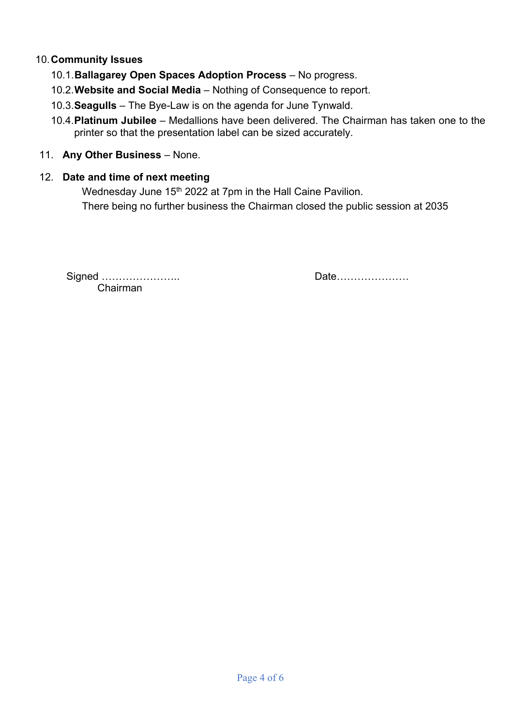# 10.**Community Issues**

- 10.1.**Ballagarey Open Spaces Adoption Process** No progress.
- 10.2.**Website and Social Media** Nothing of Consequence to report.
- 10.3.**Seagulls**  The Bye-Law is on the agenda for June Tynwald.
- 10.4.**Platinum Jubilee** Medallions have been delivered. The Chairman has taken one to the printer so that the presentation label can be sized accurately.

# 11. **Any Other Business** – None.

# 12. **Date and time of next meeting**

Wednesday June 15<sup>th</sup> 2022 at 7pm in the Hall Caine Pavilion. There being no further business the Chairman closed the public session at 2035

Signed ………………….. Date………………… Chairman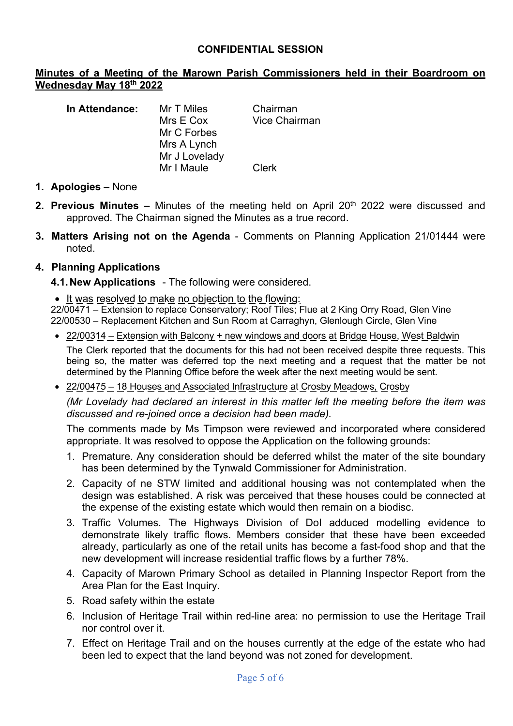#### **CONFIDENTIAL SESSION**

#### **Minutes of a Meeting of the Marown Parish Commissioners held in their Boardroom on Wednesday May 18th 2022**

| In Attendance: | Mr T Miles<br>Mrs E Cox<br>Mr C Forbes<br>Mrs A Lynch<br>Mr J Lovelady | Chairman<br><b>Vice Chairman</b> |
|----------------|------------------------------------------------------------------------|----------------------------------|
|                | Mr I Maule                                                             | Clerk                            |

- **1. Apologies –** None
- **2. Previous Minutes** Minutes of the meeting held on April 20<sup>th</sup> 2022 were discussed and approved. The Chairman signed the Minutes as a true record.
- **3. Matters Arising not on the Agenda** Comments on Planning Application 21/01444 were noted.

#### **4. Planning Applications**

- **4.1.New Applications** The following were considered.
- It was resolved to make no objection to the flowing:

22/00471 – Extension to replace Conservatory; Roof Tiles; Flue at 2 King Orry Road, Glen Vine 22/00530 – Replacement Kitchen and Sun Room at Carraghyn, Glenlough Circle, Glen Vine

• 22/00314 – Extension with Balcony + new windows and doors at Bridge House, West Baldwin

The Clerk reported that the documents for this had not been received despite three requests. This being so, the matter was deferred top the next meeting and a request that the matter be not determined by the Planning Office before the week after the next meeting would be sent.

• 22/00475 – 18 Houses and Associated Infrastructure at Crosby Meadows, Crosby

*(Mr Lovelady had declared an interest in this matter left the meeting before the item was discussed and re-joined once a decision had been made).*

The comments made by Ms Timpson were reviewed and incorporated where considered appropriate. It was resolved to oppose the Application on the following grounds:

- 1. Premature. Any consideration should be deferred whilst the mater of the site boundary has been determined by the Tynwald Commissioner for Administration.
- 2. Capacity of ne STW limited and additional housing was not contemplated when the design was established. A risk was perceived that these houses could be connected at the expense of the existing estate which would then remain on a biodisc.
- 3. Traffic Volumes. The Highways Division of DoI adduced modelling evidence to demonstrate likely traffic flows. Members consider that these have been exceeded already, particularly as one of the retail units has become a fast-food shop and that the new development will increase residential traffic flows by a further 78%.
- 4. Capacity of Marown Primary School as detailed in Planning Inspector Report from the Area Plan for the East Inquiry.
- 5. Road safety within the estate
- 6. Inclusion of Heritage Trail within red-line area: no permission to use the Heritage Trail nor control over it.
- 7. Effect on Heritage Trail and on the houses currently at the edge of the estate who had been led to expect that the land beyond was not zoned for development.